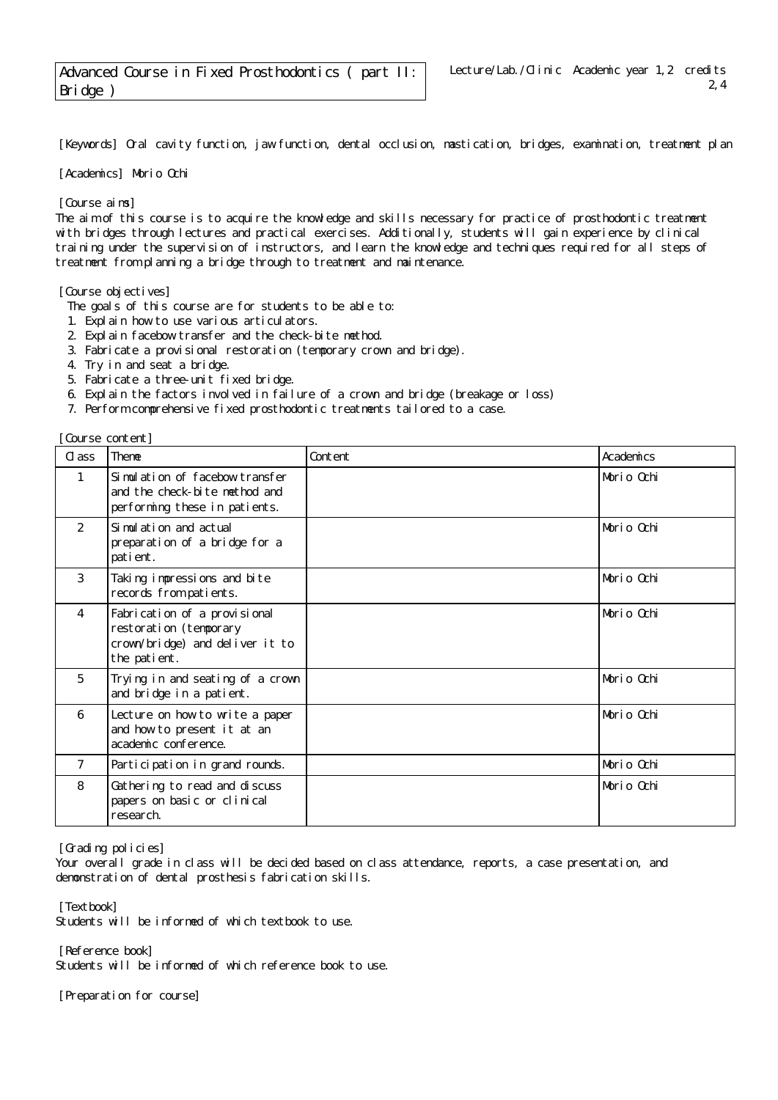[Keywords] Oral cavity function, jaw function, dental occlusion, mastication, bridges, examination, treatment plan

[Academics] Morio Ochi

[Course aims]

The aim of this course is to acquire the knowledge and skills necessary for practice of prosthodontic treatment with bridges through lectures and practical exercises. Additionally, students will gain experience by clinical training under the supervision of instructors, and learn the knowledge and techniques required for all steps of treatment from planning a bridge through to treatment and maintenance.

[Course objectives]

The goals of this course are for students to be able to:

- 1. Explain how to use various articulators.
- 2. Explain facebow transfer and the check-bite method.
- 3. Fabricate a provisional restoration (temporary crown and bridge).
- 4. Try in and seat a bridge.
- 5. Fabricate a three-unit fixed bridge.
- 6. Explain the factors involved in failure of a crown and bridge (breakage or loss)
- 7. Perform comprehensive fixed prosthodontic treatments tailored to a case.

[Course content]

| CL ass         | <b>Theme</b>                                                                                              | Content | Academics  |
|----------------|-----------------------------------------------------------------------------------------------------------|---------|------------|
| 1              | Simulation of facebow transfer<br>and the check-bite method and<br>performing these in patients.          |         | Morio Ochi |
| $\overline{2}$ | Si mul ati on and actual<br>preparation of a bridge for a<br>patient.                                     |         | Morio Ochi |
| 3              | Taking impressions and bite<br>records from patients.                                                     |         | Morio Ochi |
| $\overline{4}$ | Fabrication of a provisional<br>restoration (temporary<br>crown/bridge) and deliver it to<br>the patient. |         | Morio Ochi |
| 5              | Trying in and seating of a crown<br>and bridge in a patient.                                              |         | Morio Ochi |
| 6              | Lecture on how to write a paper<br>and how to present it at an<br>academic conference.                    |         | Morio Ochi |
| $\overline{7}$ | Participation in grand rounds.                                                                            |         | Morio Ochi |
| 8              | Gathering to read and discuss<br>papers on basic or clinical<br>research.                                 |         | Morio Ochi |

[Grading policies]

Your overall grade in class will be decided based on class attendance, reports, a case presentation, and demonstration of dental prosthesis fabrication skills.

[Textbook]

Students will be informed of which textbook to use.

[Reference book] Students will be informed of which reference book to use.

[Preparation for course]